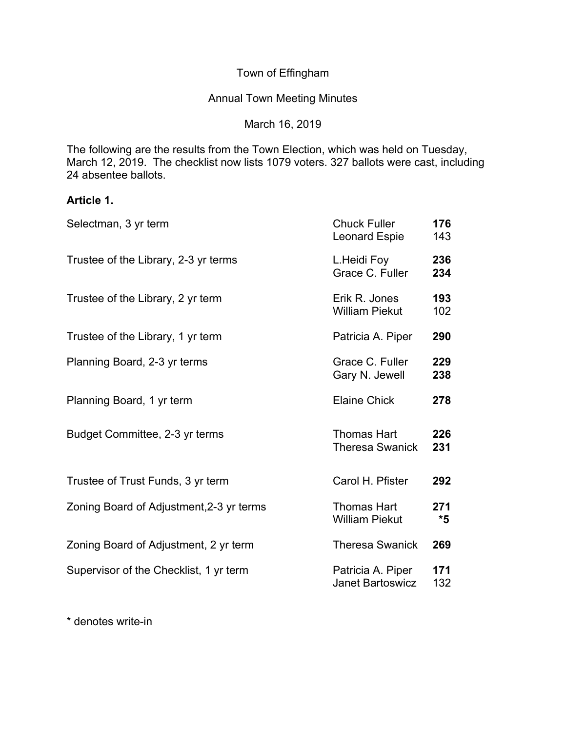Town of Effingham

Annual Town Meeting Minutes

March 16, 2019

The following are the results from the Town Election, which was held on Tuesday, March 12, 2019. The checklist now lists 1079 voters. 327 ballots were cast, including 24 absentee ballots.

# **Article 1.**

| Selectman, 3 yr term                     | <b>Chuck Fuller</b><br>Leonard Espie         | 176<br>143 |
|------------------------------------------|----------------------------------------------|------------|
| Trustee of the Library, 2-3 yr terms     | L.Heidi Foy<br>Grace C. Fuller               | 236<br>234 |
| Trustee of the Library, 2 yr term        | Erik R. Jones<br><b>William Piekut</b>       | 193<br>102 |
| Trustee of the Library, 1 yr term        | Patricia A. Piper                            | 290        |
| Planning Board, 2-3 yr terms             | Grace C. Fuller<br>Gary N. Jewell            | 229<br>238 |
| Planning Board, 1 yr term                | <b>Elaine Chick</b>                          | 278        |
| Budget Committee, 2-3 yr terms           | Thomas Hart<br><b>Theresa Swanick</b>        | 226<br>231 |
| Trustee of Trust Funds, 3 yr term        | Carol H. Pfister                             | 292        |
| Zoning Board of Adjustment, 2-3 yr terms | <b>Thomas Hart</b><br><b>William Piekut</b>  | 271<br>*5  |
| Zoning Board of Adjustment, 2 yr term    | <b>Theresa Swanick</b>                       | 269        |
| Supervisor of the Checklist, 1 yr term   | Patricia A. Piper<br><b>Janet Bartoswicz</b> | 171<br>132 |

\* denotes write-in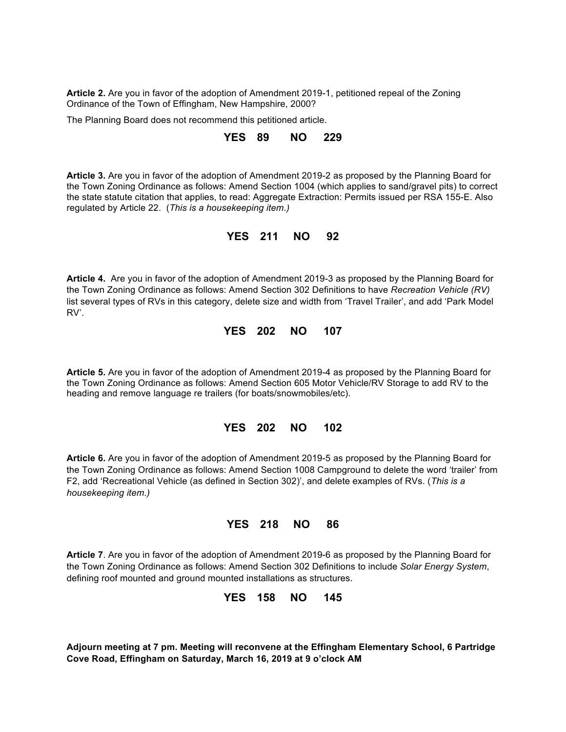**Article 2.** Are you in favor of the adoption of Amendment 2019-1, petitioned repeal of the Zoning Ordinance of the Town of Effingham, New Hampshire, 2000?

The Planning Board does not recommend this petitioned article.

### **YES 89 NO 229**

**Article 3.** Are you in favor of the adoption of Amendment 2019-2 as proposed by the Planning Board for the Town Zoning Ordinance as follows: Amend Section 1004 (which applies to sand/gravel pits) to correct the state statute citation that applies, to read: Aggregate Extraction: Permits issued per RSA 155-E. Also regulated by Article 22. (*This is a housekeeping item.)*

### **YES 211 NO 92**

**Article 4.** Are you in favor of the adoption of Amendment 2019-3 as proposed by the Planning Board for the Town Zoning Ordinance as follows: Amend Section 302 Definitions to have *Recreation Vehicle (RV)* list several types of RVs in this category, delete size and width from 'Travel Trailer', and add 'Park Model RV'.

# **YES 202 NO 107**

**Article 5.** Are you in favor of the adoption of Amendment 2019-4 as proposed by the Planning Board for the Town Zoning Ordinance as follows: Amend Section 605 Motor Vehicle/RV Storage to add RV to the heading and remove language re trailers (for boats/snowmobiles/etc).

### **YES 202 NO 102**

**Article 6.** Are you in favor of the adoption of Amendment 2019-5 as proposed by the Planning Board for the Town Zoning Ordinance as follows: Amend Section 1008 Campground to delete the word 'trailer' from F2, add 'Recreational Vehicle (as defined in Section 302)', and delete examples of RVs. (*This is a housekeeping item.)*

# **YES 218 NO 86**

**Article 7**. Are you in favor of the adoption of Amendment 2019-6 as proposed by the Planning Board for the Town Zoning Ordinance as follows: Amend Section 302 Definitions to include *Solar Energy System*, defining roof mounted and ground mounted installations as structures.

**YES 158 NO 145**

**Adjourn meeting at 7 pm. Meeting will reconvene at the Effingham Elementary School, 6 Partridge Cove Road, Effingham on Saturday, March 16, 2019 at 9 o'clock AM**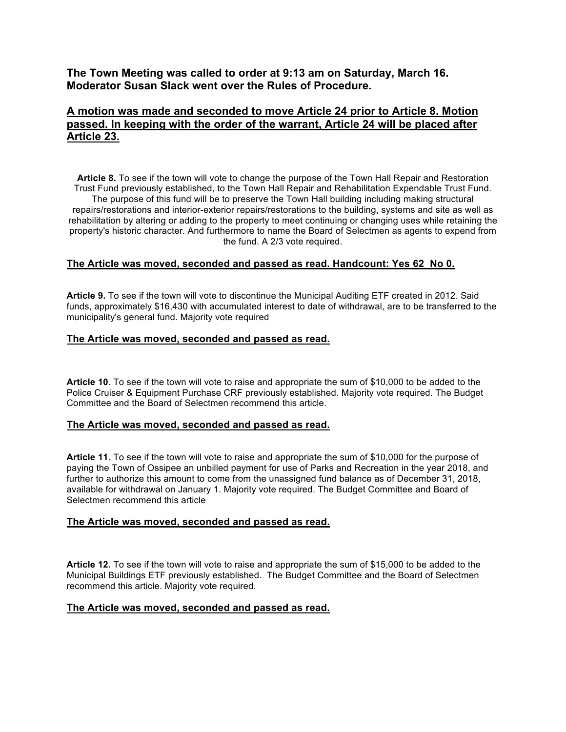**The Town Meeting was called to order at 9:13 am on Saturday, March 16. Moderator Susan Slack went over the Rules of Procedure.** 

# **A motion was made and seconded to move Article 24 prior to Article 8. Motion passed. In keeping with the order of the warrant, Article 24 will be placed after Article 23.**

**Article 8.** To see if the town will vote to change the purpose of the Town Hall Repair and Restoration Trust Fund previously established, to the Town Hall Repair and Rehabilitation Expendable Trust Fund. The purpose of this fund will be to preserve the Town Hall building including making structural repairs/restorations and interior-exterior repairs/restorations to the building, systems and site as well as rehabilitation by altering or adding to the property to meet continuing or changing uses while retaining the property's historic character. And furthermore to name the Board of Selectmen as agents to expend from the fund. A 2/3 vote required.

### **The Article was moved, seconded and passed as read. Handcount: Yes 62 No 0.**

**Article 9.** To see if the town will vote to discontinue the Municipal Auditing ETF created in 2012. Said funds, approximately \$16,430 with accumulated interest to date of withdrawal, are to be transferred to the municipality's general fund. Majority vote required

#### **The Article was moved, seconded and passed as read.**

**Article 10**. To see if the town will vote to raise and appropriate the sum of \$10,000 to be added to the Police Cruiser & Equipment Purchase CRF previously established. Majority vote required. The Budget Committee and the Board of Selectmen recommend this article.

#### **The Article was moved, seconded and passed as read.**

**Article 11**. To see if the town will vote to raise and appropriate the sum of \$10,000 for the purpose of paying the Town of Ossipee an unbilled payment for use of Parks and Recreation in the year 2018, and further to authorize this amount to come from the unassigned fund balance as of December 31, 2018, available for withdrawal on January 1. Majority vote required. The Budget Committee and Board of Selectmen recommend this article

### **The Article was moved, seconded and passed as read.**

**Article 12.** To see if the town will vote to raise and appropriate the sum of \$15,000 to be added to the Municipal Buildings ETF previously established. The Budget Committee and the Board of Selectmen recommend this article. Majority vote required.

#### **The Article was moved, seconded and passed as read.**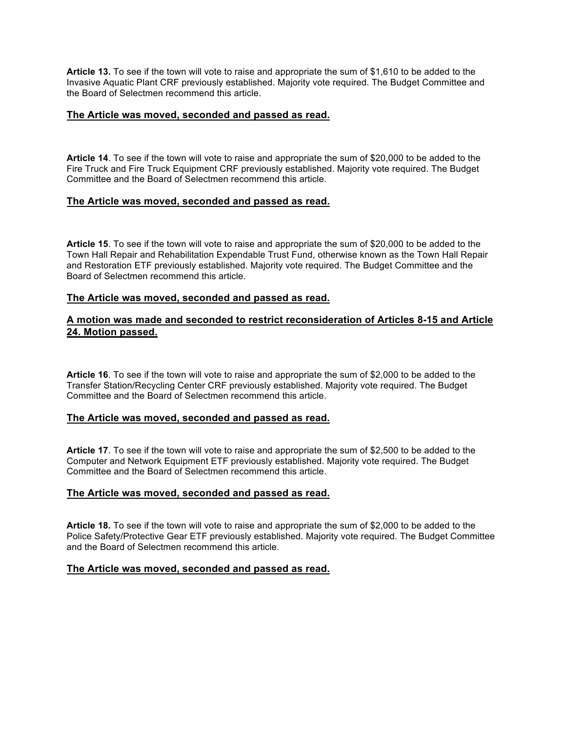**Article 13.** To see if the town will vote to raise and appropriate the sum of \$1,610 to be added to the Invasive Aquatic Plant CRF previously established. Majority vote required. The Budget Committee and the Board of Selectmen recommend this article.

#### **The Article was moved, seconded and passed as read.**

**Article 14**. To see if the town will vote to raise and appropriate the sum of \$20,000 to be added to the Fire Truck and Fire Truck Equipment CRF previously established. Majority vote required. The Budget Committee and the Board of Selectmen recommend this article.

### **The Article was moved, seconded and passed as read.**

**Article 15**. To see if the town will vote to raise and appropriate the sum of \$20,000 to be added to the Town Hall Repair and Rehabilitation Expendable Trust Fund, otherwise known as the Town Hall Repair and Restoration ETF previously established. Majority vote required. The Budget Committee and the Board of Selectmen recommend this article.

#### **The Article was moved, seconded and passed as read.**

### **A motion was made and seconded to restrict reconsideration of Articles 8-15 and Article 24. Motion passed.**

**Article 16**. To see if the town will vote to raise and appropriate the sum of \$2,000 to be added to the Transfer Station/Recycling Center CRF previously established. Majority vote required. The Budget Committee and the Board of Selectmen recommend this article.

# **The Article was moved, seconded and passed as read.**

**Article 17**. To see if the town will vote to raise and appropriate the sum of \$2,500 to be added to the Computer and Network Equipment ETF previously established. Majority vote required. The Budget Committee and the Board of Selectmen recommend this article.

#### **The Article was moved, seconded and passed as read.**

**Article 18.** To see if the town will vote to raise and appropriate the sum of \$2,000 to be added to the Police Safety/Protective Gear ETF previously established. Majority vote required. The Budget Committee and the Board of Selectmen recommend this article.

#### **The Article was moved, seconded and passed as read.**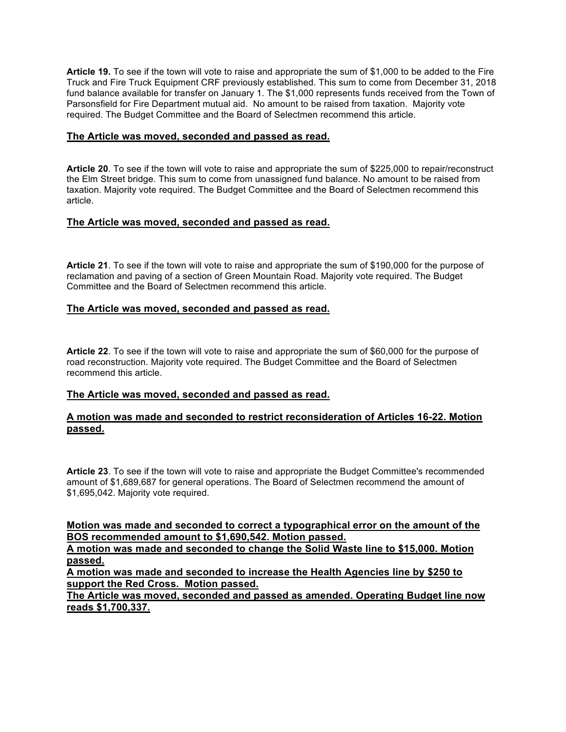**Article 19.** To see if the town will vote to raise and appropriate the sum of \$1,000 to be added to the Fire Truck and Fire Truck Equipment CRF previously established. This sum to come from December 31, 2018 fund balance available for transfer on January 1. The \$1,000 represents funds received from the Town of Parsonsfield for Fire Department mutual aid. No amount to be raised from taxation. Majority vote required. The Budget Committee and the Board of Selectmen recommend this article.

### **The Article was moved, seconded and passed as read.**

**Article 20**. To see if the town will vote to raise and appropriate the sum of \$225,000 to repair/reconstruct the Elm Street bridge. This sum to come from unassigned fund balance. No amount to be raised from taxation. Majority vote required. The Budget Committee and the Board of Selectmen recommend this article.

# **The Article was moved, seconded and passed as read.**

**Article 21**. To see if the town will vote to raise and appropriate the sum of \$190,000 for the purpose of reclamation and paving of a section of Green Mountain Road. Majority vote required. The Budget Committee and the Board of Selectmen recommend this article.

# **The Article was moved, seconded and passed as read.**

**Article 22**. To see if the town will vote to raise and appropriate the sum of \$60,000 for the purpose of road reconstruction. Majority vote required. The Budget Committee and the Board of Selectmen recommend this article.

### **The Article was moved, seconded and passed as read.**

# **A motion was made and seconded to restrict reconsideration of Articles 16-22. Motion passed.**

**Article 23**. To see if the town will vote to raise and appropriate the Budget Committee's recommended amount of \$1,689,687 for general operations. The Board of Selectmen recommend the amount of \$1,695,042. Majority vote required.

# **Motion was made and seconded to correct a typographical error on the amount of the BOS recommended amount to \$1,690,542. Motion passed.**

**A motion was made and seconded to change the Solid Waste line to \$15,000. Motion passed.**

**A motion was made and seconded to increase the Health Agencies line by \$250 to support the Red Cross. Motion passed.** 

**The Article was moved, seconded and passed as amended. Operating Budget line now reads \$1,700,337.**